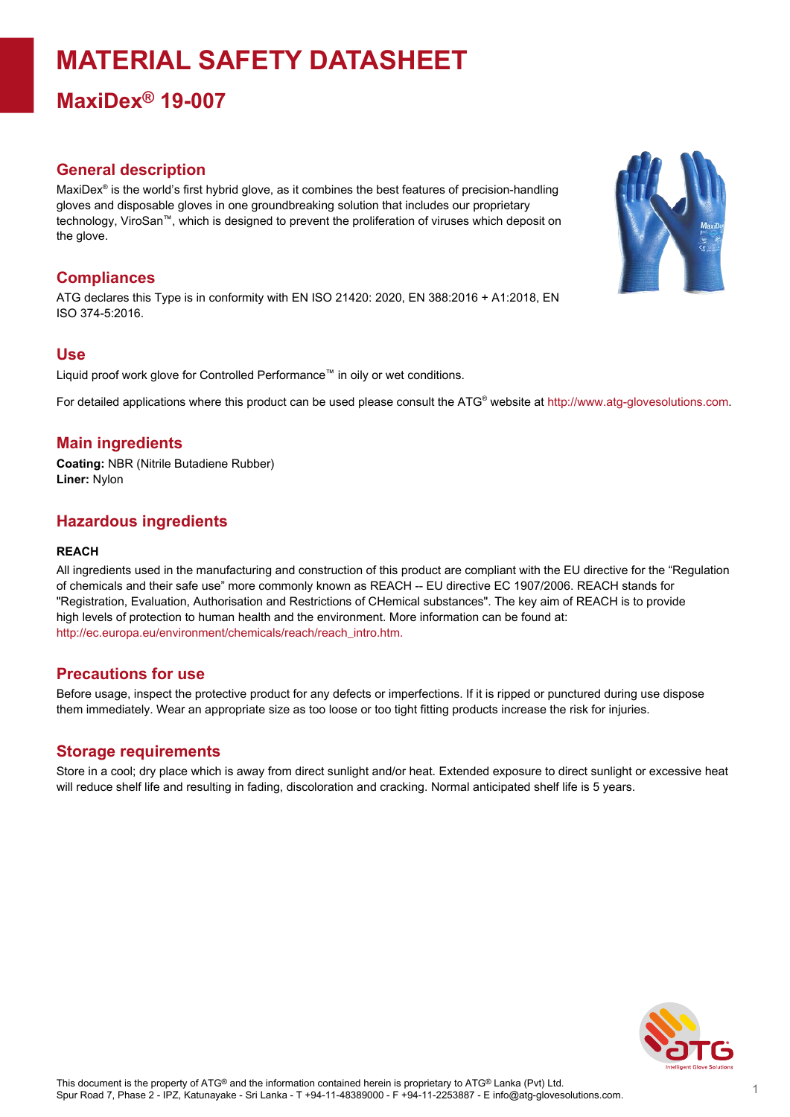# **MATERIAL SAFETY DATASHEET**

## **MaxiDex® 19-007**

### **General description**

MaxiDex® is the world's first hybrid glove, as it combines the best features of precision-handling gloves and disposable gloves in one groundbreaking solution that includes our proprietary technology, ViroSan™, which is designed to prevent the proliferation of viruses which deposit on the glove.

### **Compliances**

ATG declares this Type is in conformity with EN ISO 21420: 2020, EN 388:2016 + A1:2018, EN ISO 374-5:2016.

#### **Use**

Liquid proof work glove for Controlled Performance™ in oily or wet conditions.

For detailed applications where this product can be used please consult the ATG® website at http://www.atg-glovesolutions.com.

#### **Main ingredients**

**Coating:** NBR (Nitrile Butadiene Rubber) **Liner:** Nylon

#### **Hazardous ingredients**

#### **REACH**

All ingredients used in the manufacturing and construction of this product are compliant with the EU directive for the "Regulation of chemicals and their safe use" more commonly known as REACH -- EU directive EC 1907/2006. REACH stands for "Registration, Evaluation, Authorisation and Restrictions of CHemical substances". The key aim of REACH is to provide high levels of protection to human health and the environment. More information can be found at: [http://ec.europa.eu/environment/chemicals/reach/reach\\_intro.htm.](http://ec.europa.eu/environment/chemicals/reach/reach_intro.htm.)

#### **Precautions for use**

Before usage, inspect the protective product for any defects or imperfections. If it is ripped or punctured during use dispose them immediately. Wear an appropriate size as too loose or too tight fitting products increase the risk for injuries.

#### **Storage requirements**

Store in a cool; dry place which is away from direct sunlight and/or heat. Extended exposure to direct sunlight or excessive heat will reduce shelf life and resulting in fading, discoloration and cracking. Normal anticipated shelf life is 5 years.